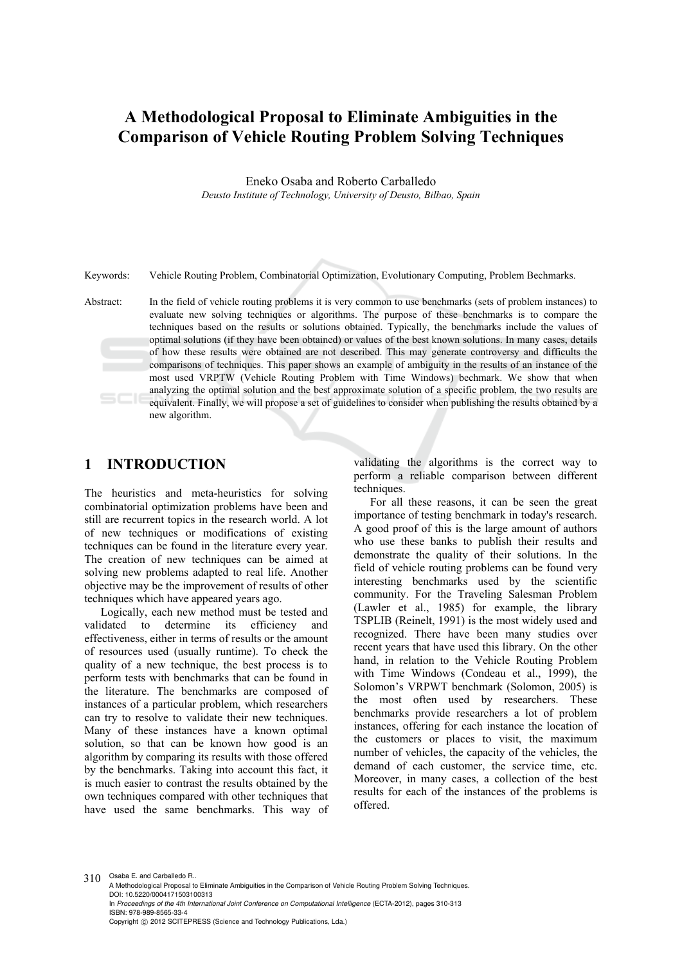# **A Methodological Proposal to Eliminate Ambiguities in the Comparison of Vehicle Routing Problem Solving Techniques**

Eneko Osaba and Roberto Carballedo

*Deusto Institute of Technology, University of Deusto, Bilbao, Spain* 

Keywords: Vehicle Routing Problem, Combinatorial Optimization, Evolutionary Computing, Problem Bechmarks.

Abstract: In the field of vehicle routing problems it is very common to use benchmarks (sets of problem instances) to evaluate new solving techniques or algorithms. The purpose of these benchmarks is to compare the techniques based on the results or solutions obtained. Typically, the benchmarks include the values of optimal solutions (if they have been obtained) or values of the best known solutions. In many cases, details of how these results were obtained are not described. This may generate controversy and difficults the comparisons of techniques. This paper shows an example of ambiguity in the results of an instance of the most used VRPTW (Vehicle Routing Problem with Time Windows) bechmark. We show that when analyzing the optimal solution and the best approximate solution of a specific problem, the two results are equivalent. Finally, we will propose a set of guidelines to consider when publishing the results obtained by a new algorithm.

#### **1 INTRODUCTION**

The heuristics and meta-heuristics for solving combinatorial optimization problems have been and still are recurrent topics in the research world. A lot of new techniques or modifications of existing techniques can be found in the literature every year. The creation of new techniques can be aimed at solving new problems adapted to real life. Another objective may be the improvement of results of other techniques which have appeared years ago.

Logically, each new method must be tested and<br>validated to determine its efficiency and to determine its efficiency and effectiveness, either in terms of results or the amount of resources used (usually runtime). To check the quality of a new technique, the best process is to perform tests with benchmarks that can be found in the literature. The benchmarks are composed of instances of a particular problem, which researchers can try to resolve to validate their new techniques. Many of these instances have a known optimal solution, so that can be known how good is an algorithm by comparing its results with those offered by the benchmarks. Taking into account this fact, it is much easier to contrast the results obtained by the own techniques compared with other techniques that have used the same benchmarks. This way of validating the algorithms is the correct way to perform a reliable comparison between different techniques.

For all these reasons, it can be seen the great importance of testing benchmark in today's research. A good proof of this is the large amount of authors who use these banks to publish their results and demonstrate the quality of their solutions. In the field of vehicle routing problems can be found very interesting benchmarks used by the scientific community. For the Traveling Salesman Problem (Lawler et al., 1985) for example, the library TSPLIB (Reinelt, 1991) is the most widely used and recognized. There have been many studies over recent years that have used this library. On the other hand, in relation to the Vehicle Routing Problem with Time Windows (Condeau et al., 1999), the Solomon's VRPWT benchmark (Solomon, 2005) is the most often used by researchers. These benchmarks provide researchers a lot of problem instances, offering for each instance the location of the customers or places to visit, the maximum number of vehicles, the capacity of the vehicles, the demand of each customer, the service time, etc. Moreover, in many cases, a collection of the best results for each of the instances of the problems is offered.

310 Osaba E. and Carballedo R.. A Methodological Proposal to Eliminate Ambiguities in the Comparison of Vehicle Routing Problem Solving Techniques. DOI: 10.5220/0004171503100313 In *Proceedings of the 4th International Joint Conference on Computational Intelligence* (ECTA-2012), pages 310-313 ISBN: 978-989-8565-33-4 Copyright © 2012 SCITEPRESS (Science and Technology Publications, Lda.)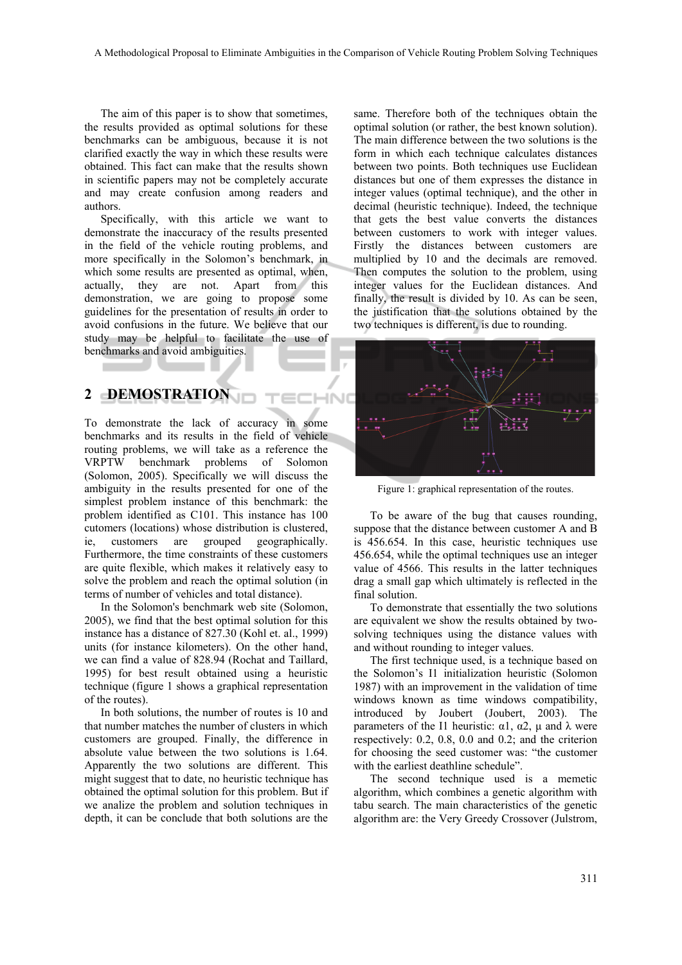The aim of this paper is to show that sometimes, the results provided as optimal solutions for these benchmarks can be ambiguous, because it is not clarified exactly the way in which these results were obtained. This fact can make that the results shown in scientific papers may not be completely accurate and may create confusion among readers and authors.

Specifically, with this article we want to demonstrate the inaccuracy of the results presented in the field of the vehicle routing problems, and more specifically in the Solomon's benchmark, in which some results are presented as optimal, when, actually, they are not. Apart from this demonstration, we are going to propose some guidelines for the presentation of results in order to avoid confusions in the future. We believe that our study may be helpful to facilitate the use of benchmarks and avoid ambiguities.

### **2 DEMOSTRATION**

To demonstrate the lack of accuracy in some benchmarks and its results in the field of vehicle routing problems, we will take as a reference the VRPTW benchmark problems of Solomon (Solomon, 2005). Specifically we will discuss the ambiguity in the results presented for one of the simplest problem instance of this benchmark: the problem identified as C101. This instance has 100 cutomers (locations) whose distribution is clustered, ie, customers are grouped geographically. Furthermore, the time constraints of these customers are quite flexible, which makes it relatively easy to solve the problem and reach the optimal solution (in terms of number of vehicles and total distance).

In the Solomon's benchmark web site (Solomon, 2005), we find that the best optimal solution for this instance has a distance of 827.30 (Kohl et. al., 1999) units (for instance kilometers). On the other hand, we can find a value of 828.94 (Rochat and Taillard, 1995) for best result obtained using a heuristic technique (figure 1 shows a graphical representation of the routes).

In both solutions, the number of routes is 10 and that number matches the number of clusters in which customers are grouped. Finally, the difference in absolute value between the two solutions is 1.64. Apparently the two solutions are different. This might suggest that to date, no heuristic technique has obtained the optimal solution for this problem. But if we analize the problem and solution techniques in depth, it can be conclude that both solutions are the

same. Therefore both of the techniques obtain the optimal solution (or rather, the best known solution). The main difference between the two solutions is the form in which each technique calculates distances between two points. Both techniques use Euclidean distances but one of them expresses the distance in integer values (optimal technique), and the other in decimal (heuristic technique). Indeed, the technique that gets the best value converts the distances between customers to work with integer values. Firstly the distances between customers are multiplied by 10 and the decimals are removed. Then computes the solution to the problem, using integer values for the Euclidean distances. And finally, the result is divided by 10. As can be seen, the justification that the solutions obtained by the two techniques is different, is due to rounding.



Figure 1: graphical representation of the routes.

To be aware of the bug that causes rounding, suppose that the distance between customer A and B is 456.654. In this case, heuristic techniques use 456.654, while the optimal techniques use an integer value of 4566. This results in the latter techniques drag a small gap which ultimately is reflected in the final solution.

To demonstrate that essentially the two solutions are equivalent we show the results obtained by twosolving techniques using the distance values with and without rounding to integer values.

The first technique used, is a technique based on the Solomon's I1 initialization heuristic (Solomon 1987) with an improvement in the validation of time windows known as time windows compatibility, introduced by Joubert (Joubert, 2003). The parameters of the I1 heuristic:  $\alpha$ 1,  $\alpha$ 2, μ and λ were respectively: 0.2, 0.8, 0.0 and 0.2; and the criterion for choosing the seed customer was: "the customer with the earliest deathline schedule".

The second technique used is a memetic algorithm, which combines a genetic algorithm with tabu search. The main characteristics of the genetic algorithm are: the Very Greedy Crossover (Julstrom,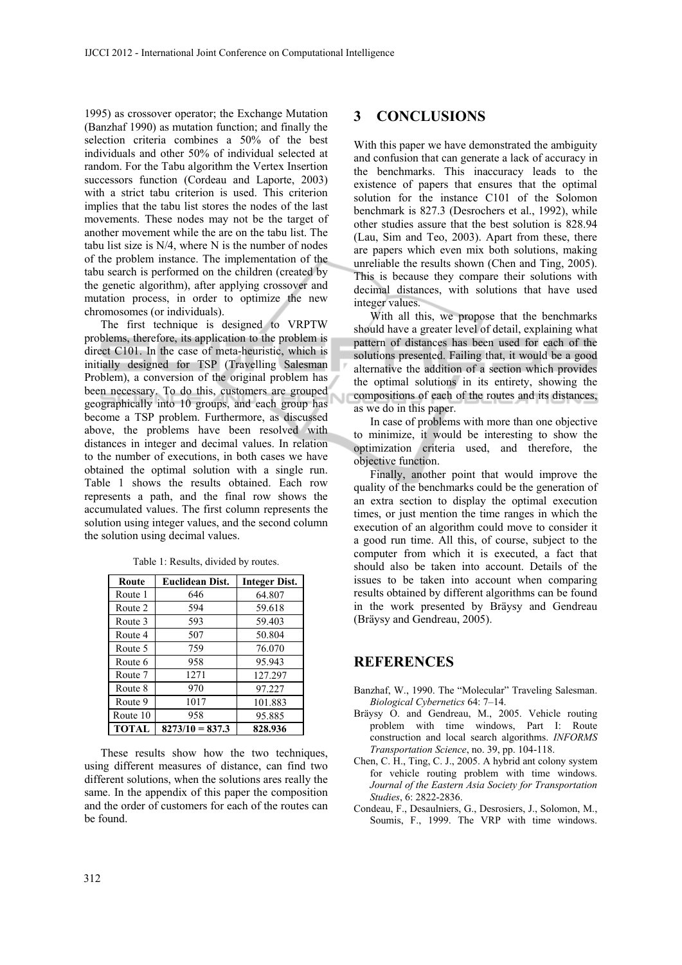1995) as crossover operator; the Exchange Mutation (Banzhaf 1990) as mutation function; and finally the selection criteria combines a 50% of the best individuals and other 50% of individual selected at random. For the Tabu algorithm the Vertex Insertion successors function (Cordeau and Laporte, 2003) with a strict tabu criterion is used. This criterion implies that the tabu list stores the nodes of the last movements. These nodes may not be the target of another movement while the are on the tabu list. The tabu list size is N/4, where N is the number of nodes of the problem instance. The implementation of the tabu search is performed on the children (created by the genetic algorithm), after applying crossover and mutation process, in order to optimize the new chromosomes (or individuals).

The first technique is designed to VRPTW problems, therefore, its application to the problem is direct C101. In the case of meta-heuristic, which is initially designed for TSP (Travelling Salesman Problem), a conversion of the original problem has been necessary. To do this, customers are grouped geographically into 10 groups, and each group has become a TSP problem. Furthermore, as discussed above, the problems have been resolved with distances in integer and decimal values. In relation to the number of executions, in both cases we have obtained the optimal solution with a single run. Table 1 shows the results obtained. Each row represents a path, and the final row shows the accumulated values. The first column represents the solution using integer values, and the second column the solution using decimal values.

| Route        | <b>Euclidean Dist.</b> | <b>Integer Dist.</b> |
|--------------|------------------------|----------------------|
| Route 1      | 646                    | 64.807               |
| Route 2      | 594                    | 59.618               |
| Route 3      | 593                    | 59.403               |
| Route 4      | 507                    | 50.804               |
| Route 5      | 759                    | 76.070               |
| Route 6      | 958                    | 95.943               |
| Route 7      | 1271                   | 127.297              |
| Route 8      | 970                    | 97.227               |
| Route 9      | 1017                   | 101.883              |
| Route 10     | 958                    | 95.885               |
| <b>TOTAL</b> | $8273/10 = 837.3$      | 828.936              |

Table 1: Results, divided by routes.

These results show how the two techniques, using different measures of distance, can find two different solutions, when the solutions ares really the same. In the appendix of this paper the composition and the order of customers for each of the routes can be found.

### **3 CONCLUSIONS**

With this paper we have demonstrated the ambiguity and confusion that can generate a lack of accuracy in the benchmarks. This inaccuracy leads to the existence of papers that ensures that the optimal solution for the instance C101 of the Solomon benchmark is 827.3 (Desrochers et al., 1992), while other studies assure that the best solution is 828.94 (Lau, Sim and Teo, 2003). Apart from these, there are papers which even mix both solutions, making unreliable the results shown (Chen and Ting, 2005). This is because they compare their solutions with decimal distances, with solutions that have used integer values.

With all this, we propose that the benchmarks should have a greater level of detail, explaining what pattern of distances has been used for each of the solutions presented. Failing that, it would be a good alternative the addition of a section which provides the optimal solutions in its entirety, showing the compositions of each of the routes and its distances, as we do in this paper.

In case of problems with more than one objective to minimize, it would be interesting to show the optimization criteria used, and therefore, the objective function.

Finally, another point that would improve the quality of the benchmarks could be the generation of an extra section to display the optimal execution times, or just mention the time ranges in which the execution of an algorithm could move to consider it a good run time. All this, of course, subject to the computer from which it is executed, a fact that should also be taken into account. Details of the issues to be taken into account when comparing results obtained by different algorithms can be found in the work presented by Bräysy and Gendreau (Bräysy and Gendreau, 2005).

## **REFERENCES**

- Banzhaf, W., 1990. The "Molecular" Traveling Salesman. *Biological Cybernetics* 64: 7–14.
- Bräysy O. and Gendreau, M., 2005. Vehicle routing problem with time windows, Part I: Route construction and local search algorithms. *INFORMS Transportation Science*, no. 39, pp. 104-118.
- Chen, C. H., Ting, C. J., 2005. A hybrid ant colony system for vehicle routing problem with time windows. *Journal of the Eastern Asia Society for Transportation Studies*, 6: 2822-2836.
- Condeau, F., Desaulniers, G., Desrosiers, J., Solomon, M., Soumis, F., 1999. The VRP with time windows.